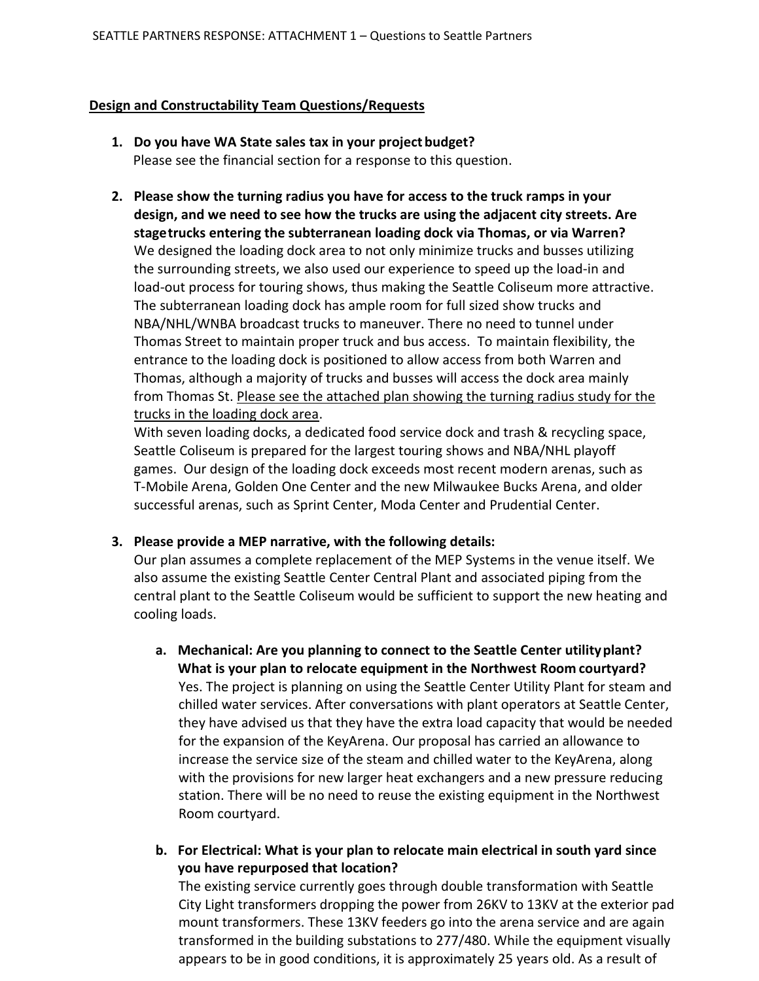#### **Design and Constructability Team Questions/Requests**

- **1. Do you have WA State sales tax in your project budget?** Please see the financial section for a response to this question.
- **2. Please show the turning radius you have for access to the truck ramps in your design, and we need to see how the trucks are using the adjacent city streets. Are stagetrucks entering the subterranean loading dock via Thomas, or via Warren?** We designed the loading dock area to not only minimize trucks and busses utilizing the surrounding streets, we also used our experience to speed up the load-in and load-out process for touring shows, thus making the Seattle Coliseum more attractive. The subterranean loading dock has ample room for full sized show trucks and NBA/NHL/WNBA broadcast trucks to maneuver. There no need to tunnel under Thomas Street to maintain proper truck and bus access. To maintain flexibility, the entrance to the loading dock is positioned to allow access from both Warren and Thomas, although a majority of trucks and busses will access the dock area mainly from Thomas St. Please see the attached plan showing the turning radius study for the trucks in the loading dock area.

With seven loading docks, a dedicated food service dock and trash & recycling space, Seattle Coliseum is prepared for the largest touring shows and NBA/NHL playoff games. Our design of the loading dock exceeds most recent modern arenas, such as T-Mobile Arena, Golden One Center and the new Milwaukee Bucks Arena, and older successful arenas, such as Sprint Center, Moda Center and Prudential Center.

#### **3. Please provide a MEP narrative, with the following details:**

Our plan assumes a complete replacement of the MEP Systems in the venue itself. We also assume the existing Seattle Center Central Plant and associated piping from the central plant to the Seattle Coliseum would be sufficient to support the new heating and cooling loads.

- **a. Mechanical: Are you planning to connect to the Seattle Center utilityplant? What is your plan to relocate equipment in the Northwest Room courtyard?**  Yes. The project is planning on using the Seattle Center Utility Plant for steam and chilled water services. After conversations with plant operators at Seattle Center, they have advised us that they have the extra load capacity that would be needed for the expansion of the KeyArena. Our proposal has carried an allowance to increase the service size of the steam and chilled water to the KeyArena, along with the provisions for new larger heat exchangers and a new pressure reducing station. There will be no need to reuse the existing equipment in the Northwest Room courtyard.
- **b. For Electrical: What is your plan to relocate main electrical in south yard since you have repurposed that location?**

The existing service currently goes through double transformation with Seattle City Light transformers dropping the power from 26KV to 13KV at the exterior pad mount transformers. These 13KV feeders go into the arena service and are again transformed in the building substations to 277/480. While the equipment visually appears to be in good conditions, it is approximately 25 years old. As a result of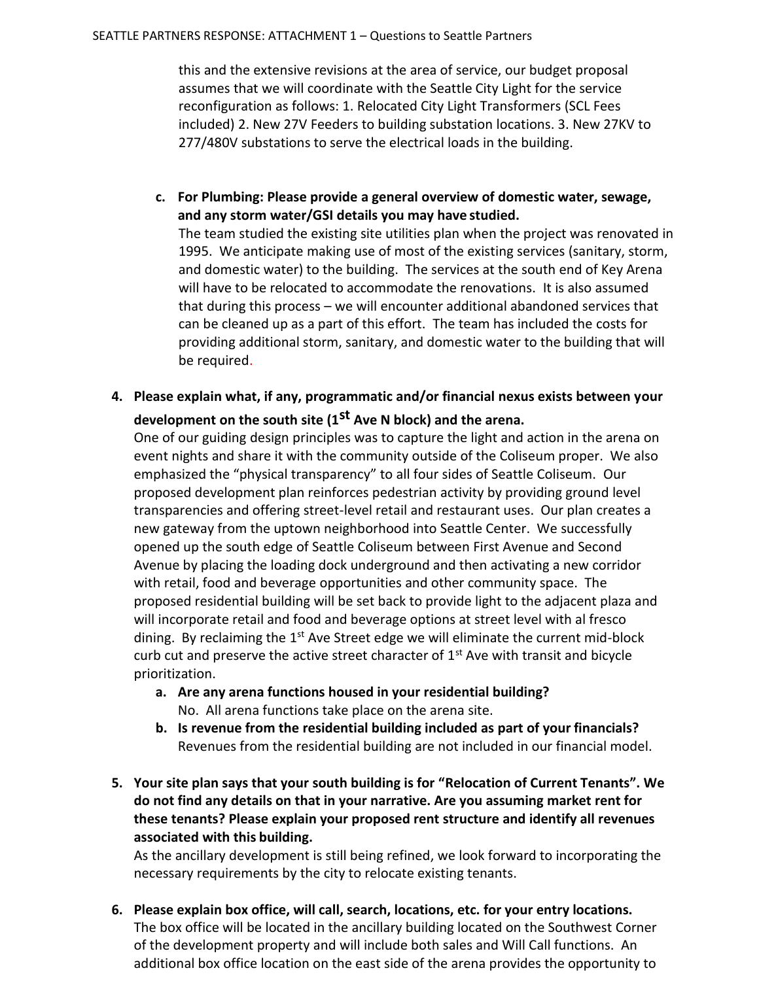this and the extensive revisions at the area of service, our budget proposal assumes that we will coordinate with the Seattle City Light for the service reconfiguration as follows: 1. Relocated City Light Transformers (SCL Fees included) 2. New 27V Feeders to building substation locations. 3. New 27KV to 277/480V substations to serve the electrical loads in the building.

**c. For Plumbing: Please provide a general overview of domestic water, sewage, and any storm water/GSI details you may have studied.** 

The team studied the existing site utilities plan when the project was renovated in 1995. We anticipate making use of most of the existing services (sanitary, storm, and domestic water) to the building. The services at the south end of Key Arena will have to be relocated to accommodate the renovations. It is also assumed that during this process – we will encounter additional abandoned services that can be cleaned up as a part of this effort. The team has included the costs for providing additional storm, sanitary, and domestic water to the building that will be required.

**4. Please explain what, if any, programmatic and/or financial nexus exists between your development on the south site (1st Ave N block) and the arena.** 

One of our guiding design principles was to capture the light and action in the arena on event nights and share it with the community outside of the Coliseum proper. We also emphasized the "physical transparency" to all four sides of Seattle Coliseum. Our proposed development plan reinforces pedestrian activity by providing ground level transparencies and offering street-level retail and restaurant uses. Our plan creates a new gateway from the uptown neighborhood into Seattle Center. We successfully opened up the south edge of Seattle Coliseum between First Avenue and Second Avenue by placing the loading dock underground and then activating a new corridor with retail, food and beverage opportunities and other community space. The proposed residential building will be set back to provide light to the adjacent plaza and will incorporate retail and food and beverage options at street level with al fresco dining. By reclaiming the  $1<sup>st</sup>$  Ave Street edge we will eliminate the current mid-block curb cut and preserve the active street character of  $1<sup>st</sup>$  Ave with transit and bicycle prioritization.

- **a. Are any arena functions housed in your residential building?** No. All arena functions take place on the arena site.
- **b. Is revenue from the residential building included as part of your financials?** Revenues from the residential building are not included in our financial model.
- **5. Your site plan says that your south building is for "Relocation of Current Tenants". We do not find any details on that in your narrative. Are you assuming market rent for these tenants? Please explain your proposed rent structure and identify all revenues associated with this building.**

As the ancillary development is still being refined, we look forward to incorporating the necessary requirements by the city to relocate existing tenants.

**6. Please explain box office, will call, search, locations, etc. for your entry locations.**  The box office will be located in the ancillary building located on the Southwest Corner of the development property and will include both sales and Will Call functions. An additional box office location on the east side of the arena provides the opportunity to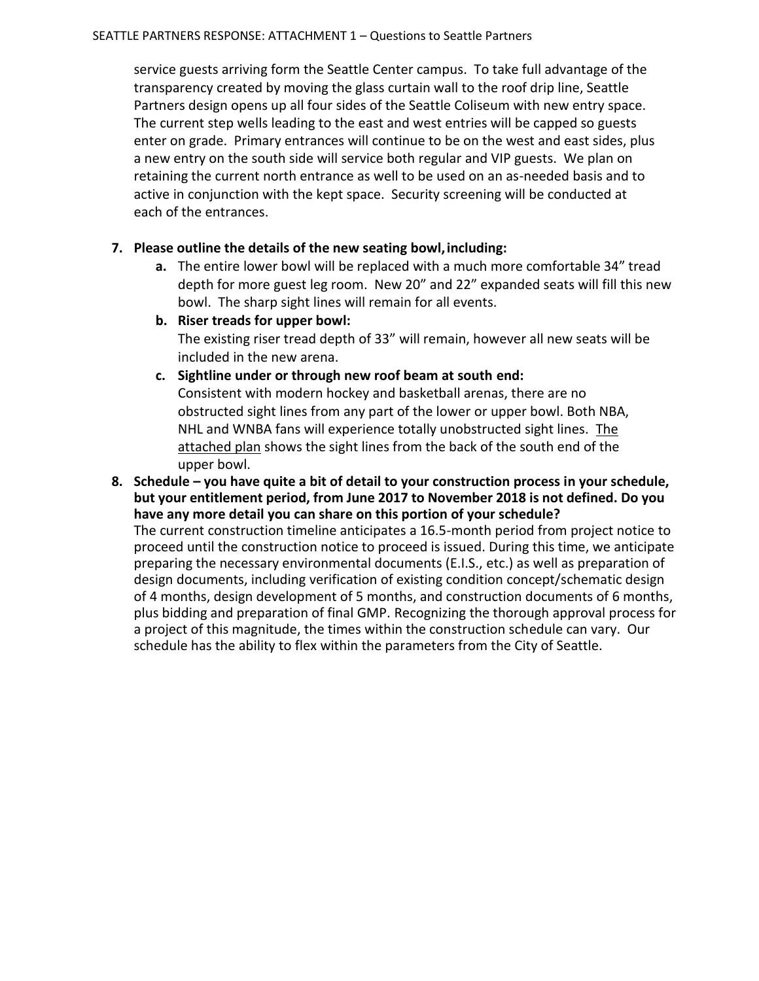service guests arriving form the Seattle Center campus. To take full advantage of the transparency created by moving the glass curtain wall to the roof drip line, Seattle Partners design opens up all four sides of the Seattle Coliseum with new entry space. The current step wells leading to the east and west entries will be capped so guests enter on grade. Primary entrances will continue to be on the west and east sides, plus a new entry on the south side will service both regular and VIP guests. We plan on retaining the current north entrance as well to be used on an as-needed basis and to active in conjunction with the kept space. Security screening will be conducted at each of the entrances.

#### **7. Please outline the details of the new seating bowl,including:**

**a.** The entire lower bowl will be replaced with a much more comfortable 34" tread depth for more guest leg room. New 20" and 22" expanded seats will fill this new bowl. The sharp sight lines will remain for all events.

**b. Riser treads for upper bowl:** The existing riser tread depth of 33" will remain, however all new seats will be included in the new arena.

- **c. Sightline under or through new roof beam at south end:**  Consistent with modern hockey and basketball arenas, there are no obstructed sight lines from any part of the lower or upper bowl. Both NBA, NHL and WNBA fans will experience totally unobstructed sight lines. The attached plan shows the sight lines from the back of the south end of the upper bowl.
- **8. Schedule – you have quite a bit of detail to your construction process in your schedule, but your entitlement period, from June 2017 to November 2018 is not defined. Do you have any more detail you can share on this portion of your schedule?**  The current construction timeline anticipates a 16.5-month period from project notice to proceed until the construction notice to proceed is issued. During this time, we anticipate preparing the necessary environmental documents (E.I.S., etc.) as well as preparation of design documents, including verification of existing condition concept/schematic design of 4 months, design development of 5 months, and construction documents of 6 months, plus bidding and preparation of final GMP. Recognizing the thorough approval process for a project of this magnitude, the times within the construction schedule can vary. Our

schedule has the ability to flex within the parameters from the City of Seattle.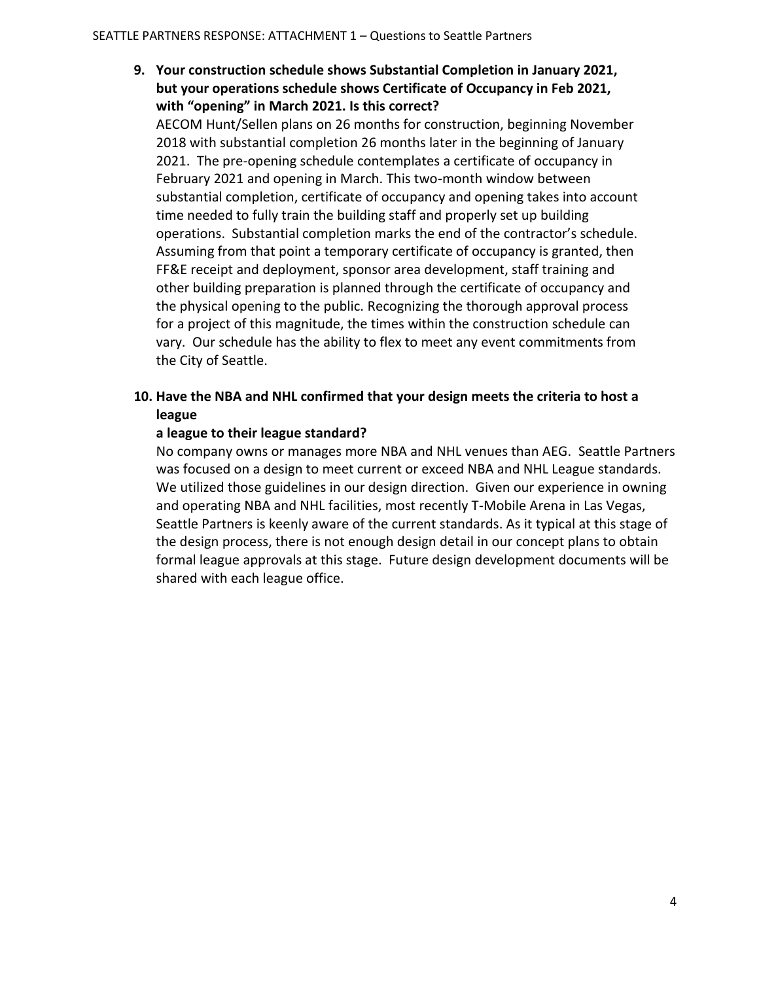### **9. Your construction schedule shows Substantial Completion in January 2021, but your operations schedule shows Certificate of Occupancy in Feb 2021, with "opening" in March 2021. Is this correct?**

AECOM Hunt/Sellen plans on 26 months for construction, beginning November 2018 with substantial completion 26 months later in the beginning of January 2021. The pre-opening schedule contemplates a certificate of occupancy in February 2021 and opening in March. This two-month window between substantial completion, certificate of occupancy and opening takes into account time needed to fully train the building staff and properly set up building operations. Substantial completion marks the end of the contractor's schedule. Assuming from that point a temporary certificate of occupancy is granted, then FF&E receipt and deployment, sponsor area development, staff training and other building preparation is planned through the certificate of occupancy and the physical opening to the public. Recognizing the thorough approval process for a project of this magnitude, the times within the construction schedule can vary. Our schedule has the ability to flex to meet any event commitments from the City of Seattle.

### **10. Have the NBA and NHL confirmed that your design meets the criteria to host a league**

#### **a league to their league standard?**

No company owns or manages more NBA and NHL venues than AEG. Seattle Partners was focused on a design to meet current or exceed NBA and NHL League standards. We utilized those guidelines in our design direction. Given our experience in owning and operating NBA and NHL facilities, most recently T-Mobile Arena in Las Vegas, Seattle Partners is keenly aware of the current standards. As it typical at this stage of the design process, there is not enough design detail in our concept plans to obtain formal league approvals at this stage. Future design development documents will be shared with each league office.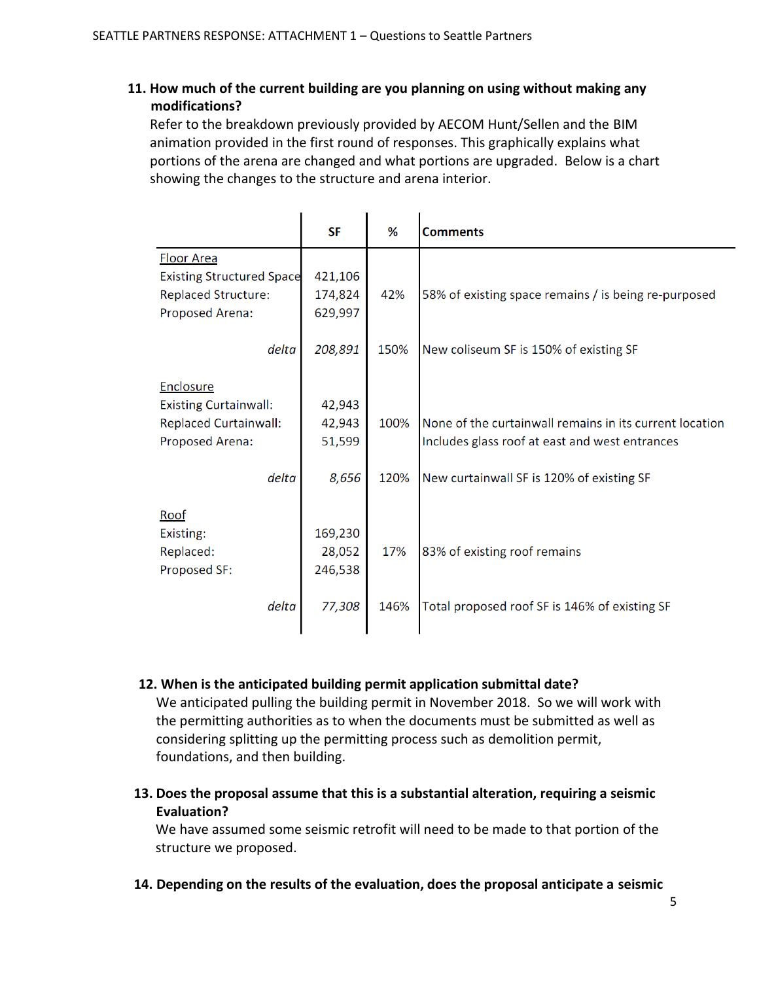### **11. How much of the current building are you planning on using without making any modifications?**

Refer to the breakdown previously provided by AECOM Hunt/Sellen and the BIM animation provided in the first round of responses. This graphically explains what portions of the arena are changed and what portions are upgraded. Below is a chart showing the changes to the structure and arena interior.

|                                  | <b>SF</b> | %    | <b>Comments</b>                                         |
|----------------------------------|-----------|------|---------------------------------------------------------|
| <b>Floor Area</b>                |           |      |                                                         |
| <b>Existing Structured Space</b> | 421,106   |      |                                                         |
| <b>Replaced Structure:</b>       | 174,824   | 42%  | 58% of existing space remains / is being re-purposed    |
| Proposed Arena:                  | 629,997   |      |                                                         |
|                                  |           |      |                                                         |
| delta                            | 208,891   | 150% | New coliseum SF is 150% of existing SF                  |
| Enclosure                        |           |      |                                                         |
| <b>Existing Curtainwall:</b>     | 42,943    |      |                                                         |
| <b>Replaced Curtainwall:</b>     | 42,943    | 100% | None of the curtainwall remains in its current location |
| Proposed Arena:                  | 51,599    |      | Includes glass roof at east and west entrances          |
|                                  |           |      |                                                         |
| delta                            | 8,656     | 120% | New curtainwall SF is 120% of existing SF               |
|                                  |           |      |                                                         |
| Roof                             |           |      |                                                         |
| Existing:                        | 169,230   |      |                                                         |
| Replaced:                        | 28,052    | 17%  | 83% of existing roof remains                            |
| Proposed SF:                     | 246,538   |      |                                                         |
|                                  |           |      |                                                         |
| delta                            | 77,308    | 146% | Total proposed roof SF is 146% of existing SF           |
|                                  |           |      |                                                         |

#### **12. When is the anticipated building permit application submittal date?**

We anticipated pulling the building permit in November 2018. So we will work with the permitting authorities as to when the documents must be submitted as well as considering splitting up the permitting process such as demolition permit, foundations, and then building.

**13. Does the proposal assume that this is a substantial alteration, requiring a seismic Evaluation?** 

We have assumed some seismic retrofit will need to be made to that portion of the structure we proposed.

**14. Depending on the results of the evaluation, does the proposal anticipate a seismic**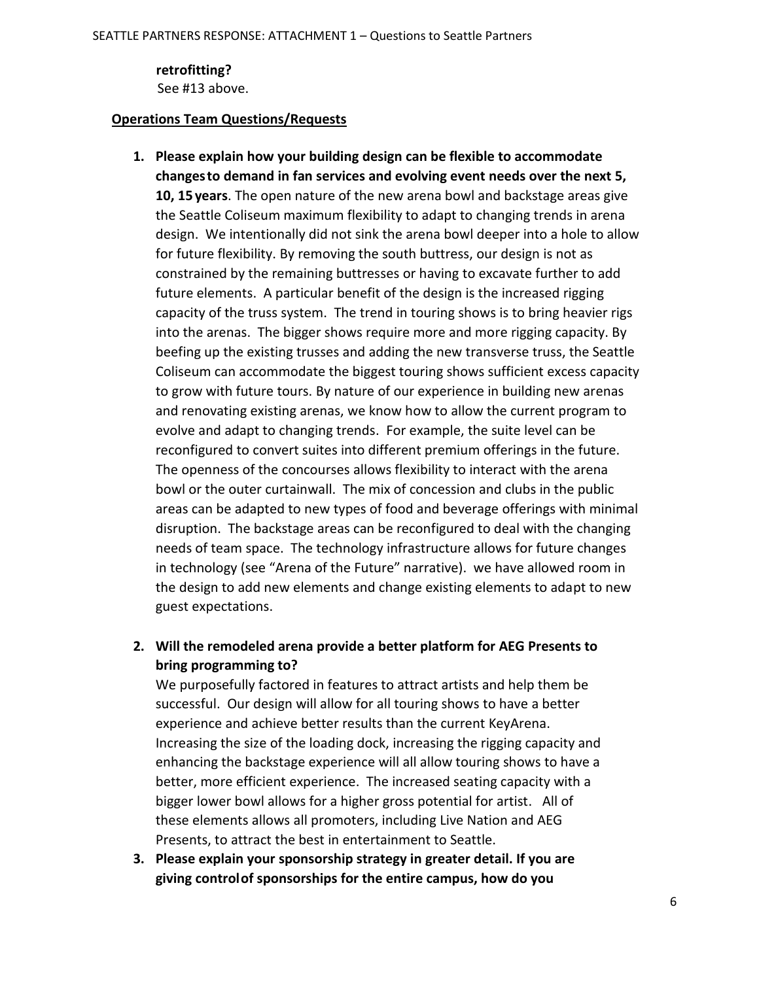**retrofitting?** See #13 above.

#### **Operations Team Questions/Requests**

- **1. Please explain how your building design can be flexible to accommodate changesto demand in fan services and evolving event needs over the next 5, 10, 15 years**. The open nature of the new arena bowl and backstage areas give the Seattle Coliseum maximum flexibility to adapt to changing trends in arena design. We intentionally did not sink the arena bowl deeper into a hole to allow for future flexibility. By removing the south buttress, our design is not as constrained by the remaining buttresses or having to excavate further to add future elements. A particular benefit of the design is the increased rigging capacity of the truss system. The trend in touring shows is to bring heavier rigs into the arenas. The bigger shows require more and more rigging capacity. By beefing up the existing trusses and adding the new transverse truss, the Seattle Coliseum can accommodate the biggest touring shows sufficient excess capacity to grow with future tours. By nature of our experience in building new arenas and renovating existing arenas, we know how to allow the current program to evolve and adapt to changing trends. For example, the suite level can be reconfigured to convert suites into different premium offerings in the future. The openness of the concourses allows flexibility to interact with the arena bowl or the outer curtainwall. The mix of concession and clubs in the public areas can be adapted to new types of food and beverage offerings with minimal disruption. The backstage areas can be reconfigured to deal with the changing needs of team space. The technology infrastructure allows for future changes in technology (see "Arena of the Future" narrative). we have allowed room in the design to add new elements and change existing elements to adapt to new guest expectations.
- **2. Will the remodeled arena provide a better platform for AEG Presents to bring programming to?**

We purposefully factored in features to attract artists and help them be successful. Our design will allow for all touring shows to have a better experience and achieve better results than the current KeyArena. Increasing the size of the loading dock, increasing the rigging capacity and enhancing the backstage experience will all allow touring shows to have a better, more efficient experience. The increased seating capacity with a bigger lower bowl allows for a higher gross potential for artist. All of these elements allows all promoters, including Live Nation and AEG Presents, to attract the best in entertainment to Seattle.

**3. Please explain your sponsorship strategy in greater detail. If you are giving controlof sponsorships for the entire campus, how do you**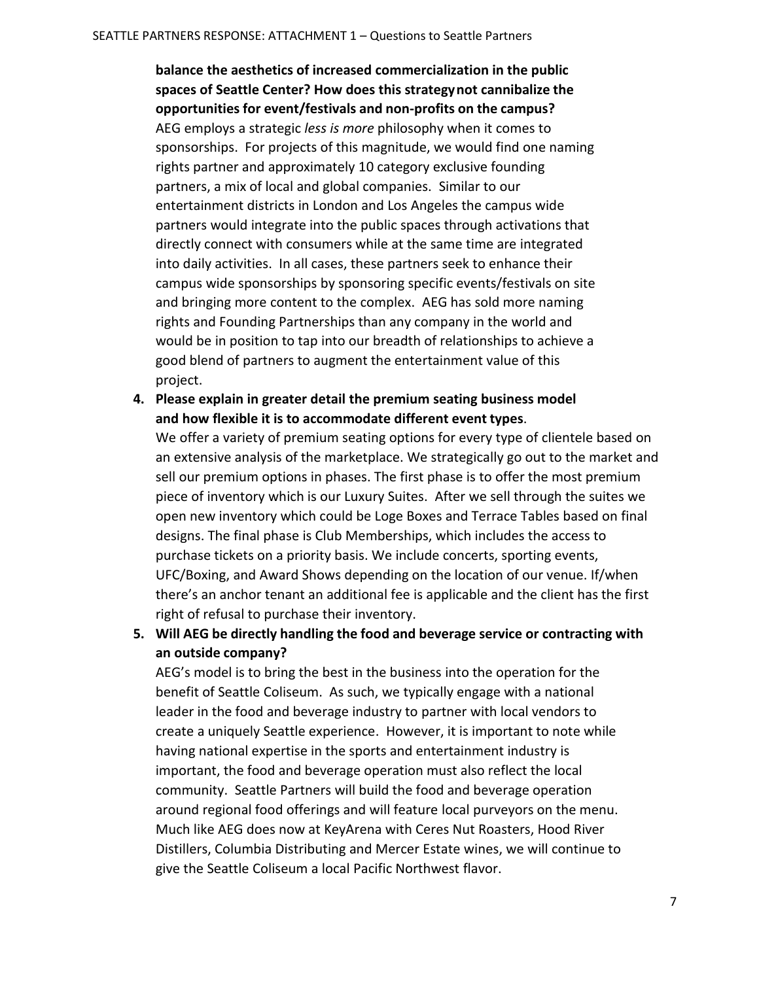**balance the aesthetics of increased commercialization in the public spaces of Seattle Center? How does this strategynot cannibalize the opportunities for event/festivals and non-profits on the campus?** AEG employs a strategic *less is more* philosophy when it comes to sponsorships. For projects of this magnitude, we would find one naming rights partner and approximately 10 category exclusive founding partners, a mix of local and global companies. Similar to our entertainment districts in London and Los Angeles the campus wide partners would integrate into the public spaces through activations that directly connect with consumers while at the same time are integrated into daily activities. In all cases, these partners seek to enhance their campus wide sponsorships by sponsoring specific events/festivals on site and bringing more content to the complex. AEG has sold more naming rights and Founding Partnerships than any company in the world and would be in position to tap into our breadth of relationships to achieve a good blend of partners to augment the entertainment value of this project.

**4. Please explain in greater detail the premium seating business model and how flexible it is to accommodate different event types**.

We offer a variety of premium seating options for every type of clientele based on an extensive analysis of the marketplace. We strategically go out to the market and sell our premium options in phases. The first phase is to offer the most premium piece of inventory which is our Luxury Suites. After we sell through the suites we open new inventory which could be Loge Boxes and Terrace Tables based on final designs. The final phase is Club Memberships, which includes the access to purchase tickets on a priority basis. We include concerts, sporting events, UFC/Boxing, and Award Shows depending on the location of our venue. If/when there's an anchor tenant an additional fee is applicable and the client has the first right of refusal to purchase their inventory.

**5. Will AEG be directly handling the food and beverage service or contracting with an outside company?**

AEG's model is to bring the best in the business into the operation for the benefit of Seattle Coliseum. As such, we typically engage with a national leader in the food and beverage industry to partner with local vendors to create a uniquely Seattle experience. However, it is important to note while having national expertise in the sports and entertainment industry is important, the food and beverage operation must also reflect the local community. Seattle Partners will build the food and beverage operation around regional food offerings and will feature local purveyors on the menu. Much like AEG does now at KeyArena with Ceres Nut Roasters, Hood River Distillers, Columbia Distributing and Mercer Estate wines, we will continue to give the Seattle Coliseum a local Pacific Northwest flavor.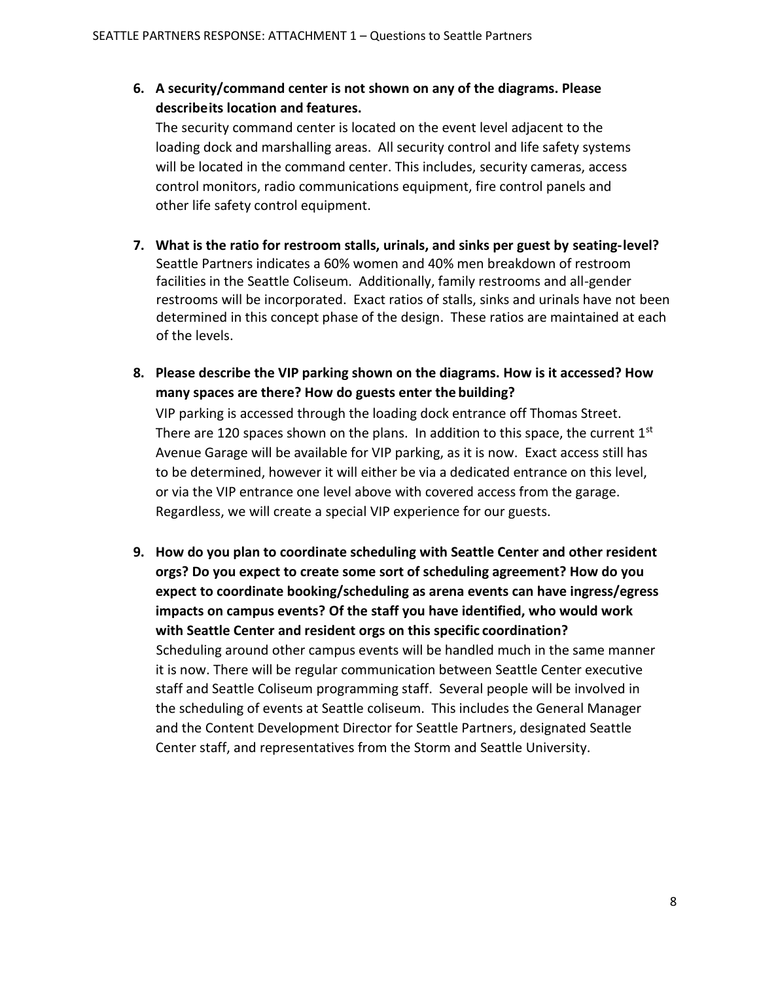**6. A security/command center is not shown on any of the diagrams. Please describeits location and features.**

The security command center is located on the event level adjacent to the loading dock and marshalling areas. All security control and life safety systems will be located in the command center. This includes, security cameras, access control monitors, radio communications equipment, fire control panels and other life safety control equipment.

- **7. What is the ratio for restroom stalls, urinals, and sinks per guest by seating-level?** Seattle Partners indicates a 60% women and 40% men breakdown of restroom facilities in the Seattle Coliseum. Additionally, family restrooms and all-gender restrooms will be incorporated. Exact ratios of stalls, sinks and urinals have not been determined in this concept phase of the design. These ratios are maintained at each of the levels.
- **8. Please describe the VIP parking shown on the diagrams. How is it accessed? How many spaces are there? How do guests enter the building?**

VIP parking is accessed through the loading dock entrance off Thomas Street. There are 120 spaces shown on the plans. In addition to this space, the current  $1<sup>st</sup>$ Avenue Garage will be available for VIP parking, as it is now. Exact access still has to be determined, however it will either be via a dedicated entrance on this level, or via the VIP entrance one level above with covered access from the garage. Regardless, we will create a special VIP experience for our guests.

**9. How do you plan to coordinate scheduling with Seattle Center and other resident orgs? Do you expect to create some sort of scheduling agreement? How do you expect to coordinate booking/scheduling as arena events can have ingress/egress impacts on campus events? Of the staff you have identified, who would work with Seattle Center and resident orgs on this specific coordination?** Scheduling around other campus events will be handled much in the same manner it is now. There will be regular communication between Seattle Center executive staff and Seattle Coliseum programming staff. Several people will be involved in the scheduling of events at Seattle coliseum. This includes the General Manager and the Content Development Director for Seattle Partners, designated Seattle Center staff, and representatives from the Storm and Seattle University.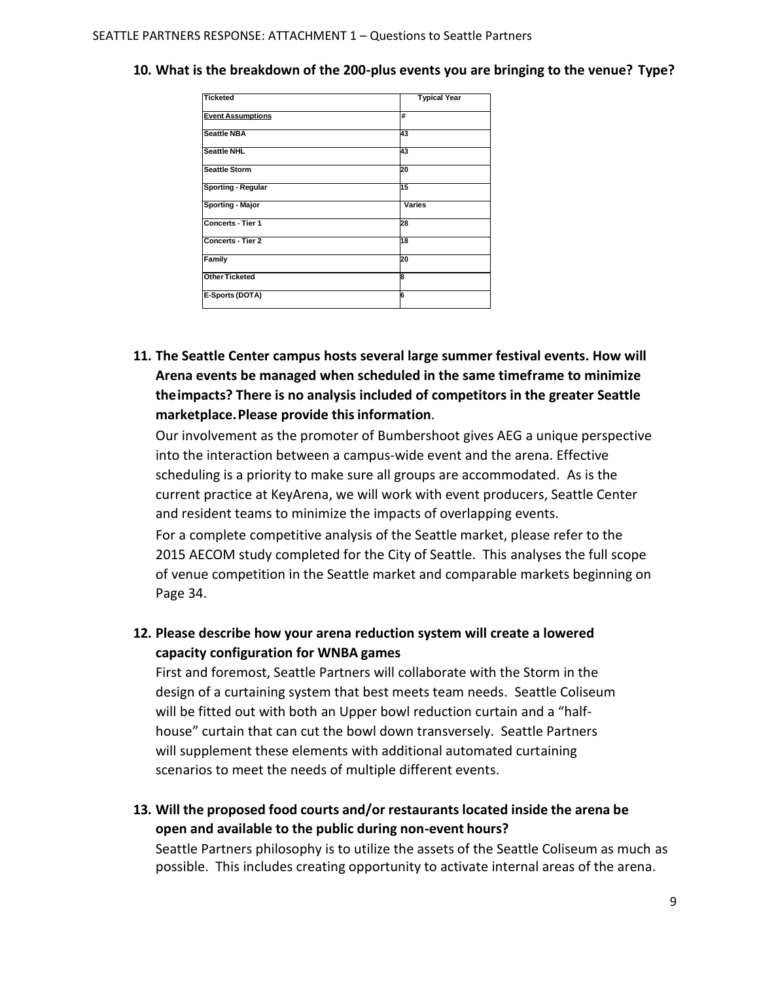| <b>Ticketed</b>          | <b>Typical Year</b> |
|--------------------------|---------------------|
| <b>Event Assumptions</b> | #                   |
| <b>Seattle NBA</b>       | 43                  |
| <b>Seattle NHL</b>       | 43                  |
| <b>Seattle Storm</b>     | 20                  |
| Sporting - Regular       | 15                  |
| Sporting - Major         | Varies              |
| Concerts - Tier 1        | 28                  |
| <b>Concerts - Tier 2</b> | 18                  |
| Family                   | 20                  |
| <b>Other Ticketed</b>    | 8                   |
| E-Sports (DOTA)          | 6                   |
|                          |                     |

#### **10. What is the breakdown of the 200-plus events you are bringing to the venue? Type?**

**11. The Seattle Center campus hosts several large summer festival events. How will Arena events be managed when scheduled in the same timeframe to minimize theimpacts? There is no analysis included of competitors in the greater Seattle marketplace.Please provide thisinformation**.

Our involvement as the promoter of Bumbershoot gives AEG a unique perspective into the interaction between a campus-wide event and the arena. Effective scheduling is a priority to make sure all groups are accommodated. As is the current practice at KeyArena, we will work with event producers, Seattle Center and resident teams to minimize the impacts of overlapping events. For a complete competitive analysis of the Seattle market, please refer to the

2015 AECOM study completed for the City of Seattle. This analyses the full scope of venue competition in the Seattle market and comparable markets beginning on Page 34.

**12. Please describe how your arena reduction system will create a lowered capacity configuration for WNBA games**

First and foremost, Seattle Partners will collaborate with the Storm in the design of a curtaining system that best meets team needs. Seattle Coliseum will be fitted out with both an Upper bowl reduction curtain and a "halfhouse" curtain that can cut the bowl down transversely. Seattle Partners will supplement these elements with additional automated curtaining scenarios to meet the needs of multiple different events.

**13. Will the proposed food courts and/or restaurants located inside the arena be open and available to the public during non-event hours?**

Seattle Partners philosophy is to utilize the assets of the Seattle Coliseum as much as possible. This includes creating opportunity to activate internal areas of the arena.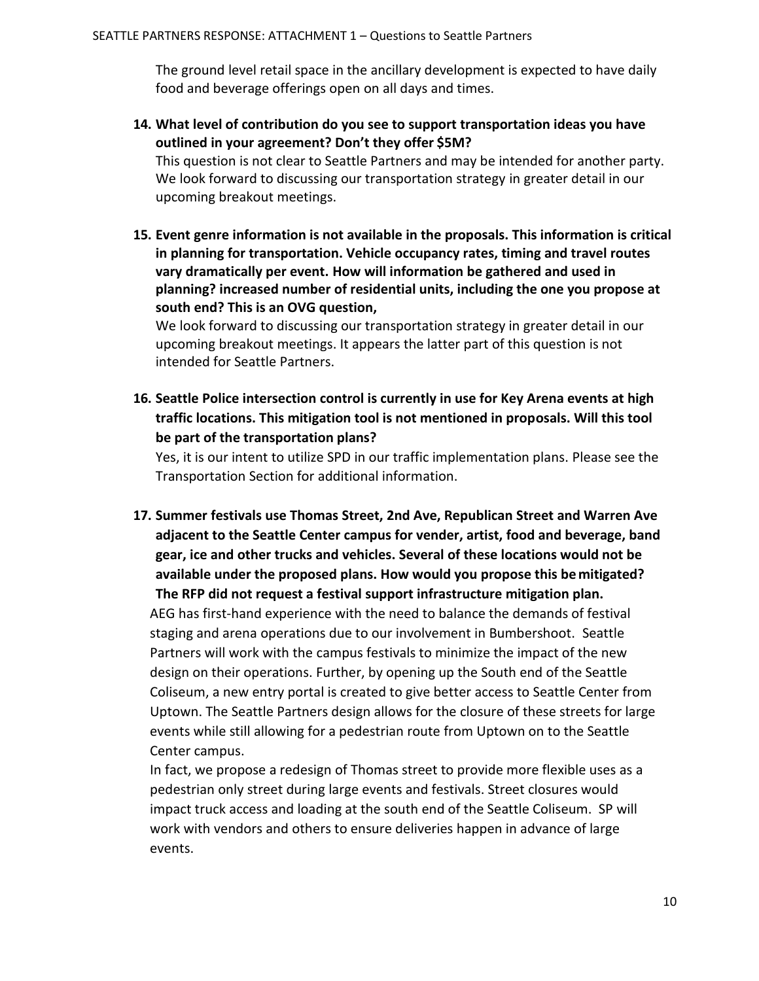The ground level retail space in the ancillary development is expected to have daily food and beverage offerings open on all days and times.

**14. What level of contribution do you see to support transportation ideas you have outlined in your agreement? Don't they offer \$5M?**

This question is not clear to Seattle Partners and may be intended for another party. We look forward to discussing our transportation strategy in greater detail in our upcoming breakout meetings.

**15. Event genre information is not available in the proposals. This information is critical in planning for transportation. Vehicle occupancy rates, timing and travel routes vary dramatically per event. How will information be gathered and used in planning? increased number of residential units, including the one you propose at south end? This is an OVG question,**

We look forward to discussing our transportation strategy in greater detail in our upcoming breakout meetings. It appears the latter part of this question is not intended for Seattle Partners.

**16. Seattle Police intersection control is currently in use for Key Arena events at high traffic locations. This mitigation tool is not mentioned in proposals. Will this tool be part of the transportation plans?**

Yes, it is our intent to utilize SPD in our traffic implementation plans. Please see the Transportation Section for additional information.

**17. Summer festivals use Thomas Street, 2nd Ave, Republican Street and Warren Ave adjacent to the Seattle Center campus for vender, artist, food and beverage, band gear, ice and other trucks and vehicles. Several of these locations would not be available under the proposed plans. How would you propose this bemitigated? The RFP did not request a festival support infrastructure mitigation plan.**

AEG has first-hand experience with the need to balance the demands of festival staging and arena operations due to our involvement in Bumbershoot. Seattle Partners will work with the campus festivals to minimize the impact of the new design on their operations. Further, by opening up the South end of the Seattle Coliseum, a new entry portal is created to give better access to Seattle Center from Uptown. The Seattle Partners design allows for the closure of these streets for large events while still allowing for a pedestrian route from Uptown on to the Seattle Center campus.

In fact, we propose a redesign of Thomas street to provide more flexible uses as a pedestrian only street during large events and festivals. Street closures would impact truck access and loading at the south end of the Seattle Coliseum. SP will work with vendors and others to ensure deliveries happen in advance of large events.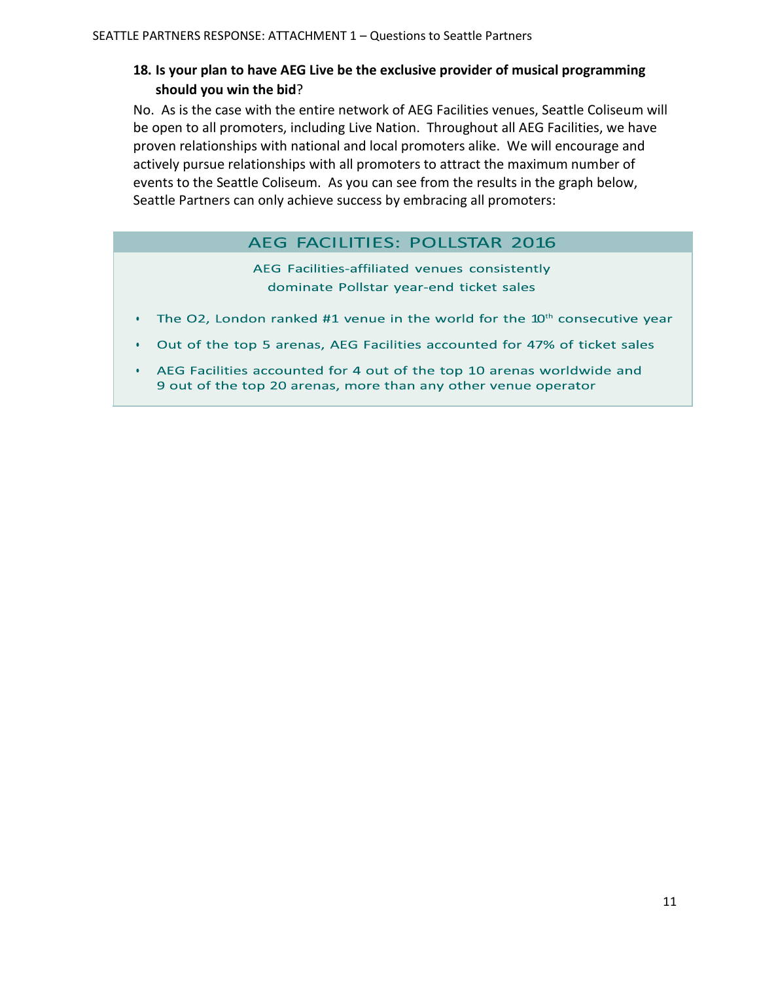### **18. Is your plan to have AEG Live be the exclusive provider of musical programming should you win the bid**?

No. As is the case with the entire network of AEG Facilities venues, Seattle Coliseum will be open to all promoters, including Live Nation. Throughout all AEG Facilities, we have proven relationships with national and local promoters alike. We will encourage and actively pursue relationships with all promoters to attract the maximum number of events to the Seattle Coliseum. As you can see from the results in the graph below, Seattle Partners can only achieve success by embracing all promoters:

### AEG FACILITIES: POLLSTAR 2016

AEG Facilities-affiliated venues consistently dominate Pollstar year-end ticket sales

- The O2, London ranked  $#1$  venue in the world for the  $10<sup>th</sup>$  consecutive year
- Out of the top 5 arenas, AEG Facilities accounted for 47% of ticket sales  $\bullet$
- AEG Facilities accounted for 4 out of the top 10 arenas worldwide and 9 out of the top 20 arenas, more than any other venue operator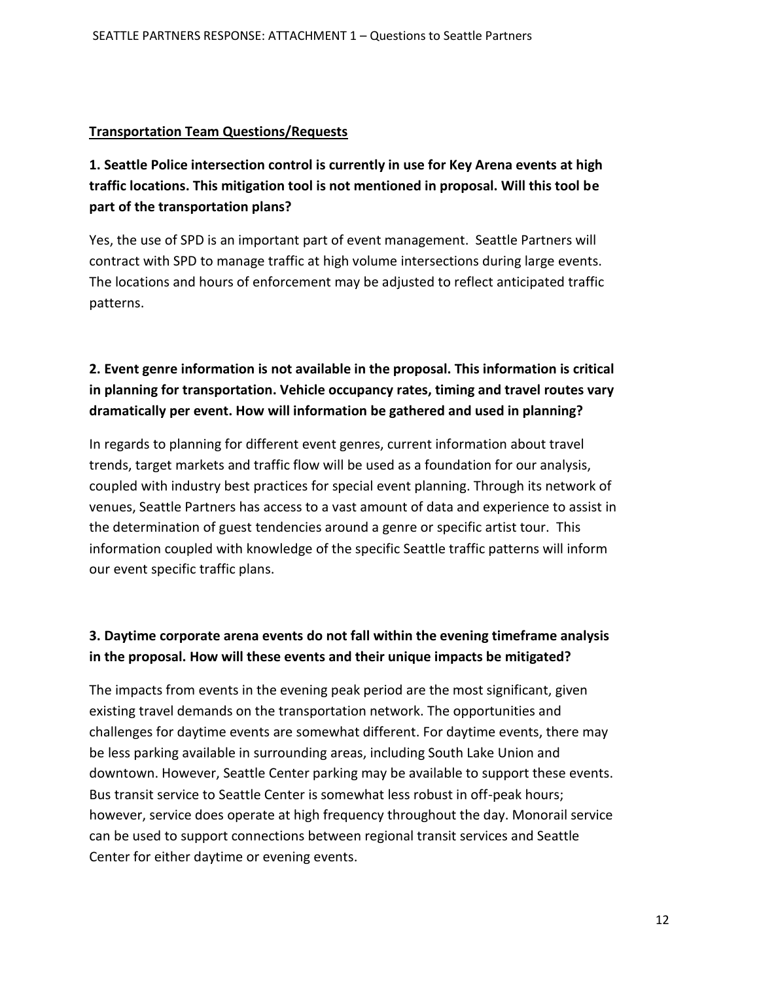#### **Transportation Team Questions/Requests**

**1. Seattle Police intersection control is currently in use for Key Arena events at high traffic locations. This mitigation tool is not mentioned in proposal. Will this tool be part of the transportation plans?** 

Yes, the use of SPD is an important part of event management. Seattle Partners will contract with SPD to manage traffic at high volume intersections during large events. The locations and hours of enforcement may be adjusted to reflect anticipated traffic patterns.

# **2. Event genre information is not available in the proposal. This information is critical in planning for transportation. Vehicle occupancy rates, timing and travel routes vary dramatically per event. How will information be gathered and used in planning?**

In regards to planning for different event genres, current information about travel trends, target markets and traffic flow will be used as a foundation for our analysis, coupled with industry best practices for special event planning. Through its network of venues, Seattle Partners has access to a vast amount of data and experience to assist in the determination of guest tendencies around a genre or specific artist tour. This information coupled with knowledge of the specific Seattle traffic patterns will inform our event specific traffic plans.

### **3. Daytime corporate arena events do not fall within the evening timeframe analysis in the proposal. How will these events and their unique impacts be mitigated?**

The impacts from events in the evening peak period are the most significant, given existing travel demands on the transportation network. The opportunities and challenges for daytime events are somewhat different. For daytime events, there may be less parking available in surrounding areas, including South Lake Union and downtown. However, Seattle Center parking may be available to support these events. Bus transit service to Seattle Center is somewhat less robust in off-peak hours; however, service does operate at high frequency throughout the day. Monorail service can be used to support connections between regional transit services and Seattle Center for either daytime or evening events.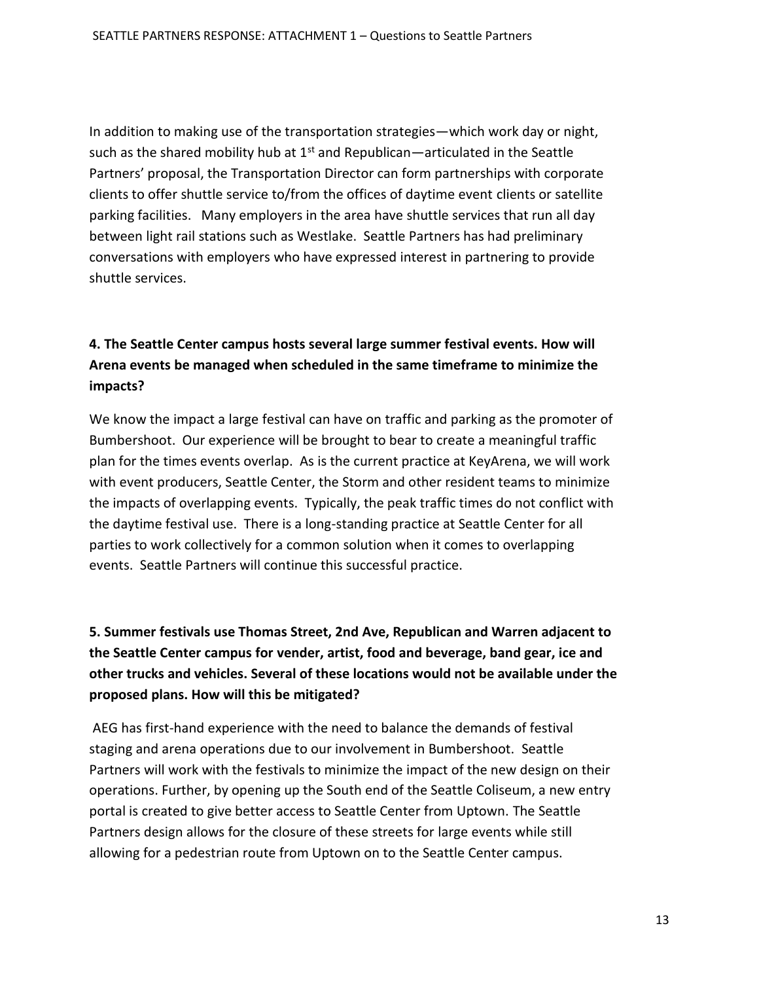In addition to making use of the transportation strategies—which work day or night, such as the shared mobility hub at  $1<sup>st</sup>$  and Republican—articulated in the Seattle Partners' proposal, the Transportation Director can form partnerships with corporate clients to offer shuttle service to/from the offices of daytime event clients or satellite parking facilities. Many employers in the area have shuttle services that run all day between light rail stations such as Westlake. Seattle Partners has had preliminary conversations with employers who have expressed interest in partnering to provide shuttle services.

# **4. The Seattle Center campus hosts several large summer festival events. How will Arena events be managed when scheduled in the same timeframe to minimize the impacts?**

We know the impact a large festival can have on traffic and parking as the promoter of Bumbershoot. Our experience will be brought to bear to create a meaningful traffic plan for the times events overlap. As is the current practice at KeyArena, we will work with event producers, Seattle Center, the Storm and other resident teams to minimize the impacts of overlapping events. Typically, the peak traffic times do not conflict with the daytime festival use. There is a long-standing practice at Seattle Center for all parties to work collectively for a common solution when it comes to overlapping events. Seattle Partners will continue this successful practice.

**5. Summer festivals use Thomas Street, 2nd Ave, Republican and Warren adjacent to the Seattle Center campus for vender, artist, food and beverage, band gear, ice and other trucks and vehicles. Several of these locations would not be available under the proposed plans. How will this be mitigated?** 

AEG has first-hand experience with the need to balance the demands of festival staging and arena operations due to our involvement in Bumbershoot. Seattle Partners will work with the festivals to minimize the impact of the new design on their operations. Further, by opening up the South end of the Seattle Coliseum, a new entry portal is created to give better access to Seattle Center from Uptown. The Seattle Partners design allows for the closure of these streets for large events while still allowing for a pedestrian route from Uptown on to the Seattle Center campus.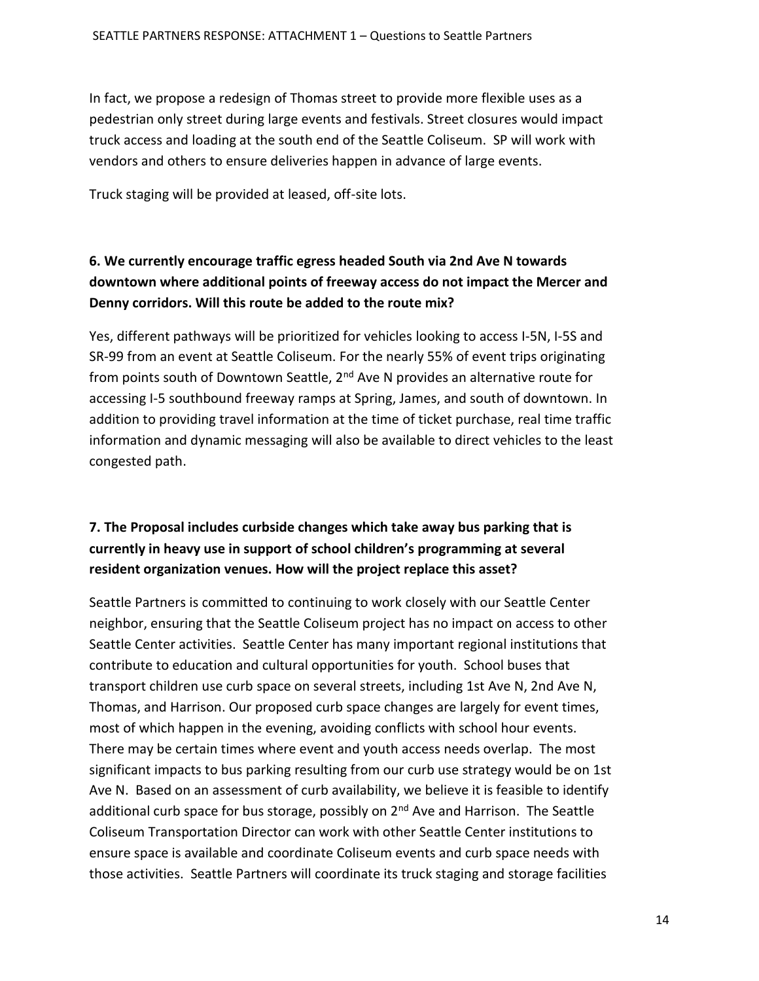In fact, we propose a redesign of Thomas street to provide more flexible uses as a pedestrian only street during large events and festivals. Street closures would impact truck access and loading at the south end of the Seattle Coliseum. SP will work with vendors and others to ensure deliveries happen in advance of large events.

Truck staging will be provided at leased, off-site lots.

# **6. We currently encourage traffic egress headed South via 2nd Ave N towards downtown where additional points of freeway access do not impact the Mercer and Denny corridors. Will this route be added to the route mix?**

Yes, different pathways will be prioritized for vehicles looking to access I-5N, I-5S and SR-99 from an event at Seattle Coliseum. For the nearly 55% of event trips originating from points south of Downtown Seattle, 2<sup>nd</sup> Ave N provides an alternative route for accessing I-5 southbound freeway ramps at Spring, James, and south of downtown. In addition to providing travel information at the time of ticket purchase, real time traffic information and dynamic messaging will also be available to direct vehicles to the least congested path.

# **7. The Proposal includes curbside changes which take away bus parking that is currently in heavy use in support of school children's programming at several resident organization venues. How will the project replace this asset?**

Seattle Partners is committed to continuing to work closely with our Seattle Center neighbor, ensuring that the Seattle Coliseum project has no impact on access to other Seattle Center activities. Seattle Center has many important regional institutions that contribute to education and cultural opportunities for youth. School buses that transport children use curb space on several streets, including 1st Ave N, 2nd Ave N, Thomas, and Harrison. Our proposed curb space changes are largely for event times, most of which happen in the evening, avoiding conflicts with school hour events. There may be certain times where event and youth access needs overlap. The most significant impacts to bus parking resulting from our curb use strategy would be on 1st Ave N. Based on an assessment of curb availability, we believe it is feasible to identify additional curb space for bus storage, possibly on  $2<sup>nd</sup>$  Ave and Harrison. The Seattle Coliseum Transportation Director can work with other Seattle Center institutions to ensure space is available and coordinate Coliseum events and curb space needs with those activities. Seattle Partners will coordinate its truck staging and storage facilities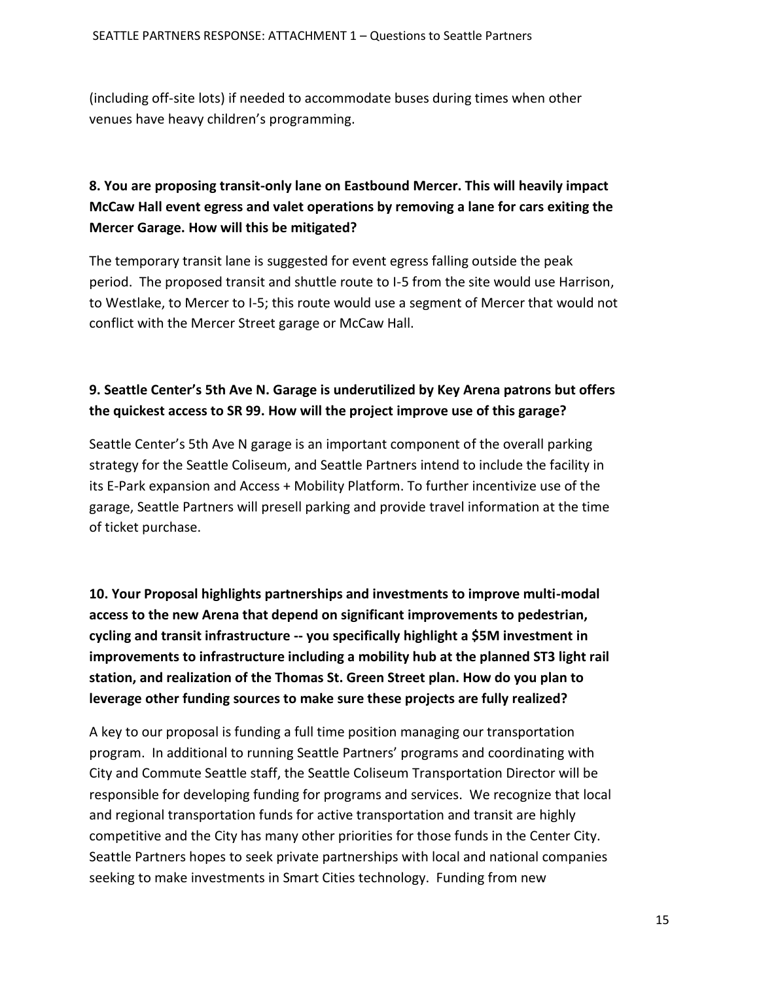(including off-site lots) if needed to accommodate buses during times when other venues have heavy children's programming.

# **8. You are proposing transit-only lane on Eastbound Mercer. This will heavily impact McCaw Hall event egress and valet operations by removing a lane for cars exiting the Mercer Garage. How will this be mitigated?**

The temporary transit lane is suggested for event egress falling outside the peak period. The proposed transit and shuttle route to I-5 from the site would use Harrison, to Westlake, to Mercer to I-5; this route would use a segment of Mercer that would not conflict with the Mercer Street garage or McCaw Hall.

### **9. Seattle Center's 5th Ave N. Garage is underutilized by Key Arena patrons but offers the quickest access to SR 99. How will the project improve use of this garage?**

Seattle Center's 5th Ave N garage is an important component of the overall parking strategy for the Seattle Coliseum, and Seattle Partners intend to include the facility in its E-Park expansion and Access + Mobility Platform. To further incentivize use of the garage, Seattle Partners will presell parking and provide travel information at the time of ticket purchase.

**10. Your Proposal highlights partnerships and investments to improve multi-modal access to the new Arena that depend on significant improvements to pedestrian, cycling and transit infrastructure -- you specifically highlight a \$5M investment in improvements to infrastructure including a mobility hub at the planned ST3 light rail station, and realization of the Thomas St. Green Street plan. How do you plan to leverage other funding sources to make sure these projects are fully realized?** 

A key to our proposal is funding a full time position managing our transportation program. In additional to running Seattle Partners' programs and coordinating with City and Commute Seattle staff, the Seattle Coliseum Transportation Director will be responsible for developing funding for programs and services. We recognize that local and regional transportation funds for active transportation and transit are highly competitive and the City has many other priorities for those funds in the Center City. Seattle Partners hopes to seek private partnerships with local and national companies seeking to make investments in Smart Cities technology. Funding from new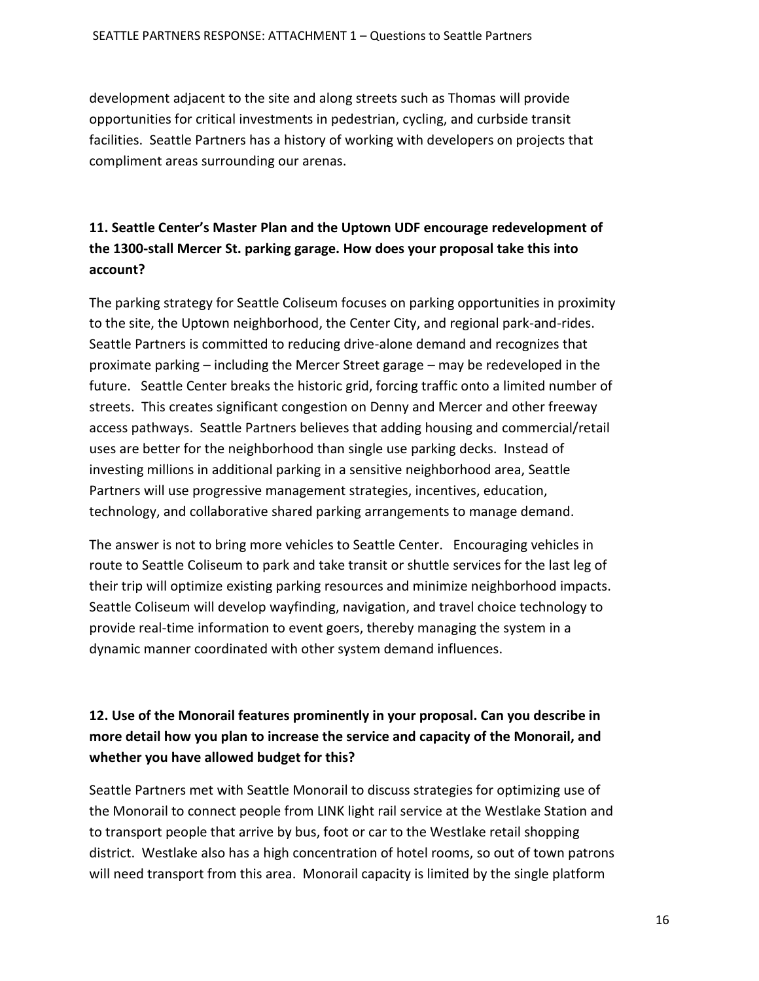development adjacent to the site and along streets such as Thomas will provide opportunities for critical investments in pedestrian, cycling, and curbside transit facilities. Seattle Partners has a history of working with developers on projects that compliment areas surrounding our arenas.

# **11. Seattle Center's Master Plan and the Uptown UDF encourage redevelopment of the 1300-stall Mercer St. parking garage. How does your proposal take this into account?**

The parking strategy for Seattle Coliseum focuses on parking opportunities in proximity to the site, the Uptown neighborhood, the Center City, and regional park-and-rides. Seattle Partners is committed to reducing drive-alone demand and recognizes that proximate parking – including the Mercer Street garage – may be redeveloped in the future. Seattle Center breaks the historic grid, forcing traffic onto a limited number of streets. This creates significant congestion on Denny and Mercer and other freeway access pathways. Seattle Partners believes that adding housing and commercial/retail uses are better for the neighborhood than single use parking decks. Instead of investing millions in additional parking in a sensitive neighborhood area, Seattle Partners will use progressive management strategies, incentives, education, technology, and collaborative shared parking arrangements to manage demand.

The answer is not to bring more vehicles to Seattle Center. Encouraging vehicles in route to Seattle Coliseum to park and take transit or shuttle services for the last leg of their trip will optimize existing parking resources and minimize neighborhood impacts. Seattle Coliseum will develop wayfinding, navigation, and travel choice technology to provide real-time information to event goers, thereby managing the system in a dynamic manner coordinated with other system demand influences.

# **12. Use of the Monorail features prominently in your proposal. Can you describe in more detail how you plan to increase the service and capacity of the Monorail, and whether you have allowed budget for this?**

Seattle Partners met with Seattle Monorail to discuss strategies for optimizing use of the Monorail to connect people from LINK light rail service at the Westlake Station and to transport people that arrive by bus, foot or car to the Westlake retail shopping district. Westlake also has a high concentration of hotel rooms, so out of town patrons will need transport from this area. Monorail capacity is limited by the single platform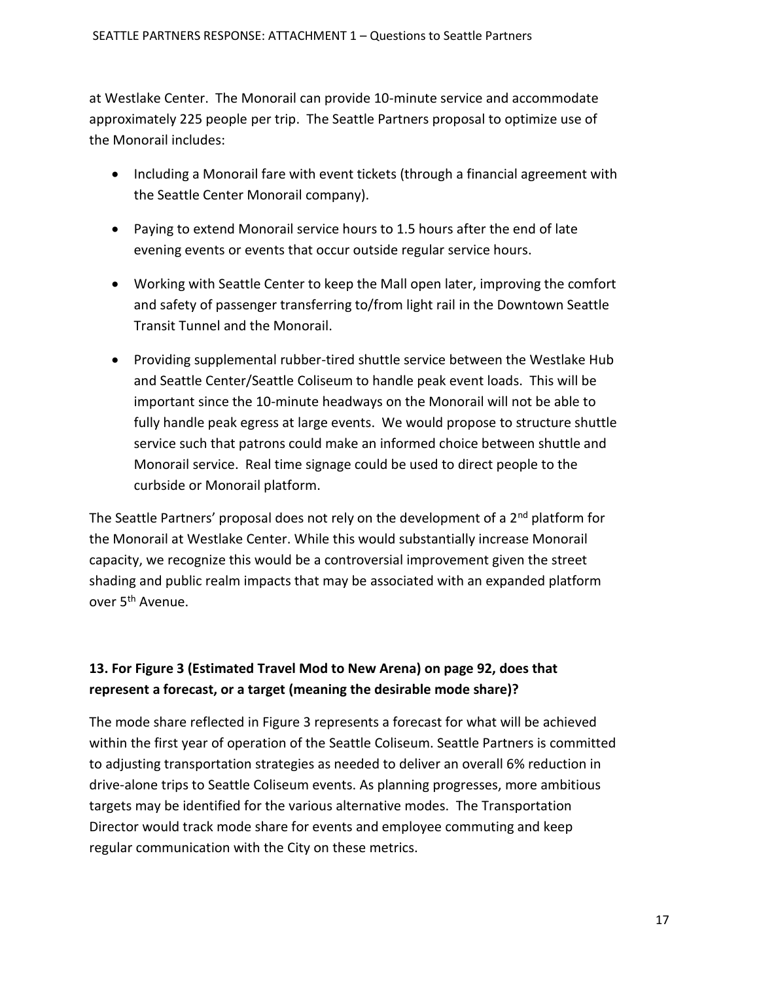at Westlake Center. The Monorail can provide 10-minute service and accommodate approximately 225 people per trip. The Seattle Partners proposal to optimize use of the Monorail includes:

- Including a Monorail fare with event tickets (through a financial agreement with the Seattle Center Monorail company).
- Paying to extend Monorail service hours to 1.5 hours after the end of late evening events or events that occur outside regular service hours.
- Working with Seattle Center to keep the Mall open later, improving the comfort and safety of passenger transferring to/from light rail in the Downtown Seattle Transit Tunnel and the Monorail.
- Providing supplemental rubber-tired shuttle service between the Westlake Hub and Seattle Center/Seattle Coliseum to handle peak event loads. This will be important since the 10-minute headways on the Monorail will not be able to fully handle peak egress at large events. We would propose to structure shuttle service such that patrons could make an informed choice between shuttle and Monorail service. Real time signage could be used to direct people to the curbside or Monorail platform.

The Seattle Partners' proposal does not rely on the development of a  $2<sup>nd</sup>$  platform for the Monorail at Westlake Center. While this would substantially increase Monorail capacity, we recognize this would be a controversial improvement given the street shading and public realm impacts that may be associated with an expanded platform over 5<sup>th</sup> Avenue.

## **13. For Figure 3 (Estimated Travel Mod to New Arena) on page 92, does that represent a forecast, or a target (meaning the desirable mode share)?**

The mode share reflected in Figure 3 represents a forecast for what will be achieved within the first year of operation of the Seattle Coliseum. Seattle Partners is committed to adjusting transportation strategies as needed to deliver an overall 6% reduction in drive-alone trips to Seattle Coliseum events. As planning progresses, more ambitious targets may be identified for the various alternative modes. The Transportation Director would track mode share for events and employee commuting and keep regular communication with the City on these metrics.